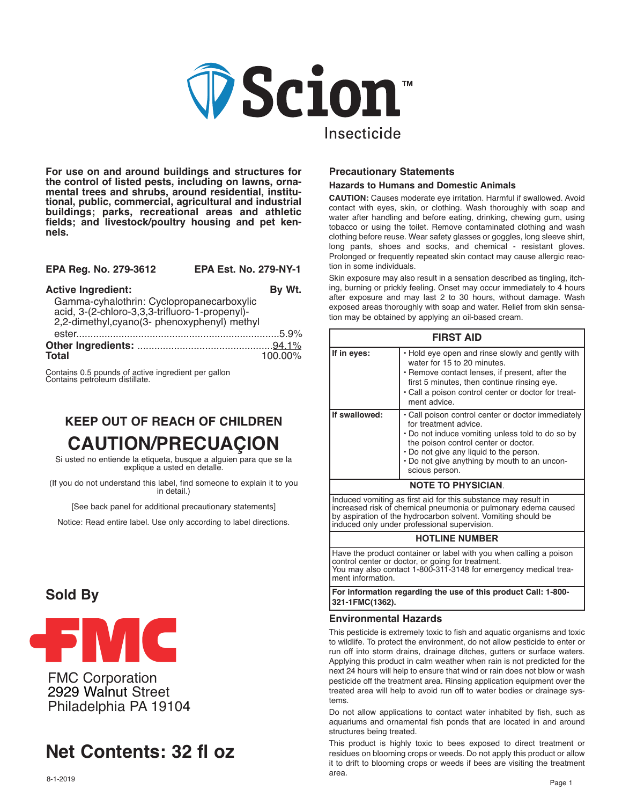

**For use on and around buildings and structures for the control of listed pests, including on lawns, ornamental trees and shrubs, around residential, institutional, public, commercial, agricultural and industrial buildings; parks, recreational areas and athletic fields; and livestock/poultry housing and pet kennels.**

| EPA Reg. No. 279-3612 | <b>EPA Est. No. 279-NY-1</b> |
|-----------------------|------------------------------|
|-----------------------|------------------------------|

| <b>Active Ingredient:</b>                                                                                                                   | By Wt.  |
|---------------------------------------------------------------------------------------------------------------------------------------------|---------|
| Gamma-cyhalothrin: Cyclopropanecarboxylic<br>acid, 3-(2-chloro-3,3,3-trifluoro-1-propenyl)-<br>2,2-dimethyl, cyano(3- phenoxyphenyl) methyl |         |
|                                                                                                                                             |         |
| <b>Total</b>                                                                                                                                | 100.00% |

Contains 0.5 pounds of active ingredient per gallon Contains petroleum distillate.

# **KEEP OUT OF REACH OF CHILDREN CAUTION/PRECUAḈION**

Si usted no entiende la etiqueta, busque a alguien para que se la explique a usted en detalle.

(If you do not understand this label, find someone to explain it to you in detail.)

[See back panel for additional precautionary statements]

Notice: Read entire label. Use only according to label directions.

## **Sold By**



FMC Corporation 2929 Walnut Street Philadelphia PA 19104

# **Net Contents: 32 fl oz**

## **Precautionary Statements**

#### **Hazards to Humans and Domestic Animals**

**CAUTION:** Causes moderate eye irritation. Harmful if swallowed. Avoid contact with eyes, skin, or clothing. Wash thoroughly with soap and water after handling and before eating, drinking, chewing gum, using tobacco or using the toilet. Remove contaminated clothing and wash clothing before reuse. Wear safety glasses or goggles, long sleeve shirt, long pants, shoes and socks, and chemical - resistant gloves. Prolonged or frequently repeated skin contact may cause allergic reaction in some individuals.

Skin exposure may also result in a sensation described as tingling, itching, burning or prickly feeling. Onset may occur immediately to 4 hours after exposure and may last 2 to 30 hours, without damage. Wash exposed areas thoroughly with soap and water. Relief from skin sensation may be obtained by applying an oil-based cream.

| <b>FIRST AID</b>                                                                                                                 |                                                                                                                                                                                                                                                                                      |  |  |  |
|----------------------------------------------------------------------------------------------------------------------------------|--------------------------------------------------------------------------------------------------------------------------------------------------------------------------------------------------------------------------------------------------------------------------------------|--|--|--|
| If in eyes:                                                                                                                      | . Hold eye open and rinse slowly and gently with<br>water for 15 to 20 minutes.<br>• Remove contact lenses, if present, after the<br>first 5 minutes, then continue rinsing eye.<br>• Call a poison control center or doctor for treat-<br>ment advice.                              |  |  |  |
| If swallowed:                                                                                                                    | • Call poison control center or doctor immediately<br>for treatment advice.<br>. Do not induce vomiting unless told to do so by<br>the poison control center or doctor.<br>• Do not give any liquid to the person.<br>. Do not give anything by mouth to an uncon-<br>scious person. |  |  |  |
| <b>NOTE TO PHYSICIAN.</b>                                                                                                        |                                                                                                                                                                                                                                                                                      |  |  |  |
| Induced vomiting as first aid for this substance may result in<br>increased risk of chemical pneumonia or pulmonary edema caused |                                                                                                                                                                                                                                                                                      |  |  |  |

increased risk of chemical pneumonia or pulmonary edema caused by aspiration of the hydrocarbon solvent. Vomiting should be induced only under professional supervision.

#### **HOTLINE NUMBER**

Have the product container or label with you when calling a poison control center or doctor, or going for treatment. You may also contact 1-800-311-3148 for emergency medical treament information.

**For information regarding the use of this product Call: 1-800- 321-1FMC(1362).**

#### **Environmental Hazards**

This pesticide is extremely toxic to fish and aquatic organisms and toxic to wildlife. To protect the environment, do not allow pesticide to enter or run off into storm drains, drainage ditches, gutters or surface waters. Applying this product in calm weather when rain is not predicted for the next 24 hours will help to ensure that wind or rain does not blow or wash pesticide off the treatment area. Rinsing application equipment over the treated area will help to avoid run off to water bodies or drainage systems.

Do not allow applications to contact water inhabited by fish, such as aquariums and ornamental fish ponds that are located in and around structures being treated.

This product is highly toxic to bees exposed to direct treatment or residues on blooming crops or weeds. Do not apply this product or allow it to drift to blooming crops or weeds if bees are visiting the treatment area.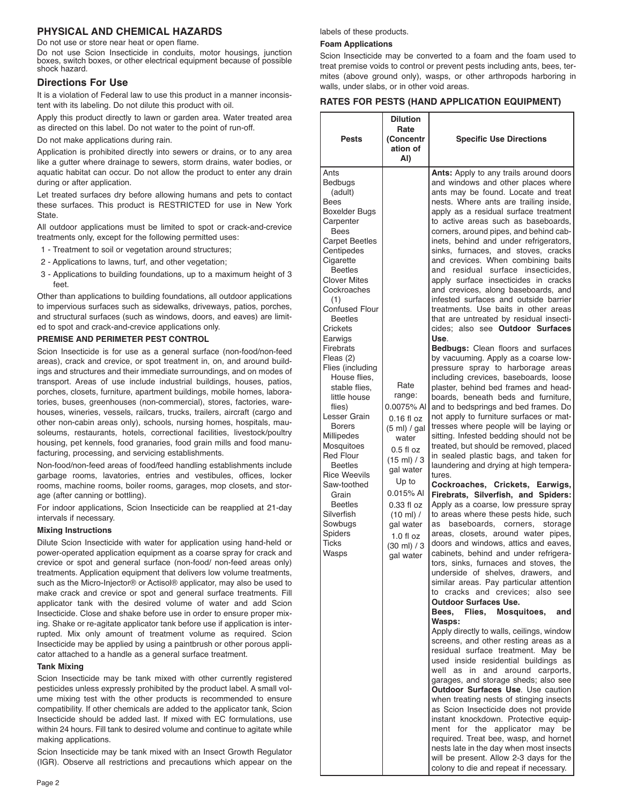## **PHYSICAL AND CHEMICAL HAZARDS**

Do not use or store near heat or open flame.

Do not use Scion Insecticide in conduits, motor housings, junction boxes, switch boxes, or other electrical equipment because of possible shock hazard.

#### **Directions For Use**

It is a violation of Federal law to use this product in a manner inconsistent with its labeling. Do not dilute this product with oil.

Apply this product directly to lawn or garden area. Water treated area as directed on this label. Do not water to the point of run-off.

Do not make applications during rain.

Application is prohibited directly into sewers or drains, or to any area like a gutter where drainage to sewers, storm drains, water bodies, or aquatic habitat can occur. Do not allow the product to enter any drain during or after application.

Let treated surfaces dry before allowing humans and pets to contact these surfaces. This product is RESTRICTED for use in New York State.

All outdoor applications must be limited to spot or crack-and-crevice treatments only, except for the following permitted uses:

- 1 Treatment to soil or vegetation around structures;
- 2 Applications to lawns, turf, and other vegetation;
- 3 Applications to building foundations, up to a maximum height of 3 feet.

Other than applications to building foundations, all outdoor applications to impervious surfaces such as sidewalks, driveways, patios, porches, and structural surfaces (such as windows, doors, and eaves) are limited to spot and crack-and-crevice applications only.

#### **PREMISE AND PERIMETER PEST CONTROL**

Scion Insecticide is for use as a general surface (non-food/non-feed areas), crack and crevice, or spot treatment in, on, and around buildings and structures and their immediate surroundings, and on modes of transport. Areas of use include industrial buildings, houses, patios, porches, closets, furniture, apartment buildings, mobile homes, laboratories, buses, greenhouses (non-commercial), stores, factories, warehouses, wineries, vessels, railcars, trucks, trailers, aircraft (cargo and other non-cabin areas only), schools, nursing homes, hospitals, mausoleums, restaurants, hotels, correctional facilities, livestock/poultry housing, pet kennels, food granaries, food grain mills and food manufacturing, processing, and servicing establishments.

Non-food/non-feed areas of food/feed handling establishments include garbage rooms, lavatories, entries and vestibules, offices, locker rooms, machine rooms, boiler rooms, garages, mop closets, and storage (after canning or bottling).

For indoor applications, Scion Insecticide can be reapplied at 21-day intervals if necessary.

#### **Mixing Instructions**

Dilute Scion Insecticide with water for application using hand-held or power-operated application equipment as a coarse spray for crack and crevice or spot and general surface (non-food/ non-feed areas only) treatments. Application equipment that delivers low volume treatments, such as the Micro-Injector® or Actisol® applicator, may also be used to make crack and crevice or spot and general surface treatments. Fill applicator tank with the desired volume of water and add Scion Insecticide. Close and shake before use in order to ensure proper mixing. Shake or re-agitate applicator tank before use if application is interrupted. Mix only amount of treatment volume as required. Scion Insecticide may be applied by using a paintbrush or other porous applicator attached to a handle as a general surface treatment.

#### **Tank Mixing**

Scion Insecticide may be tank mixed with other currently registered pesticides unless expressly prohibited by the product label. A small volume mixing test with the other products is recommended to ensure compatibility. If other chemicals are added to the applicator tank, Scion Insecticide should be added last. If mixed with EC formulations, use within 24 hours. Fill tank to desired volume and continue to agitate while making applications.

Scion Insecticide may be tank mixed with an Insect Growth Regulator (IGR). Observe all restrictions and precautions which appear on the labels of these products.

#### **Foam Applications**

Scion Insecticide may be converted to a foam and the foam used to treat premise voids to control or prevent pests including ants, bees, termites (above ground only), wasps, or other arthropods harboring in walls, under slabs, or in other void areas.

#### **RATES FOR PESTS (HAND APPLICATION EQUIPMENT)**

| <b>Pests</b>                                                                                                                                                                                                                                                                                                                                                                                                                                                                                                                                                                                                   | <b>Dilution</b><br>Rate<br>(Concentr<br>ation of<br>AI)                                                                                                                                                                                    | <b>Specific Use Directions</b>                                                                                                                                                                                                                                                                                                                                                                                                                                                                                                                                                                                                                                                                                                                                                                                                                                                                                                                                                                                                                                                                                                                                                                                                                                                                                                                                                                                                                                                                                                                                                                                                                                                                                                                                                                                                                                                                                                                                                                                                                                                                                                                                                                                                                                                                                                                                                                                                                                                                                    |  |  |
|----------------------------------------------------------------------------------------------------------------------------------------------------------------------------------------------------------------------------------------------------------------------------------------------------------------------------------------------------------------------------------------------------------------------------------------------------------------------------------------------------------------------------------------------------------------------------------------------------------------|--------------------------------------------------------------------------------------------------------------------------------------------------------------------------------------------------------------------------------------------|-------------------------------------------------------------------------------------------------------------------------------------------------------------------------------------------------------------------------------------------------------------------------------------------------------------------------------------------------------------------------------------------------------------------------------------------------------------------------------------------------------------------------------------------------------------------------------------------------------------------------------------------------------------------------------------------------------------------------------------------------------------------------------------------------------------------------------------------------------------------------------------------------------------------------------------------------------------------------------------------------------------------------------------------------------------------------------------------------------------------------------------------------------------------------------------------------------------------------------------------------------------------------------------------------------------------------------------------------------------------------------------------------------------------------------------------------------------------------------------------------------------------------------------------------------------------------------------------------------------------------------------------------------------------------------------------------------------------------------------------------------------------------------------------------------------------------------------------------------------------------------------------------------------------------------------------------------------------------------------------------------------------------------------------------------------------------------------------------------------------------------------------------------------------------------------------------------------------------------------------------------------------------------------------------------------------------------------------------------------------------------------------------------------------------------------------------------------------------------------------------------------------|--|--|
| Ants<br>Bedbugs<br>(adult)<br>Bees<br><b>Boxelder Bugs</b><br>Carpenter<br><b>Bees</b><br><b>Carpet Beetles</b><br>Centipedes<br>Cigarette<br><b>Beetles</b><br><b>Clover Mites</b><br>Cockroaches<br>(1)<br>Confused Flour<br><b>Beetles</b><br>Crickets<br>Earwigs<br>Firebrats<br>Fleas (2)<br>Flies (including<br>House flies.<br>stable flies.<br>little house<br>flies)<br>Lesser Grain<br><b>Borers</b><br>Millipedes<br>Mosquitoes<br><b>Red Flour</b><br><b>Beetles</b><br><b>Rice Weevils</b><br>Saw-toothed<br>Grain<br><b>Beetles</b><br>Silverfish<br>Sowbugs<br>Spiders<br><b>Ticks</b><br>Wasps | Rate<br>range:<br>0.0075% AI<br>$0.16$ fl oz<br>$(5 ml)$ / gal<br>water<br>$0.5f$ loz<br>(15 ml) / 3<br>gal water<br>Up to<br>0.015% AI<br>$0.33$ fl $oz$<br>(10 ml) /<br>gal water<br>$1.0$ fl $oz$<br>$(30 \text{ ml}) / 3$<br>gal water | Ants: Apply to any trails around doors<br>and windows and other places where<br>ants may be found. Locate and treat<br>nests. Where ants are trailing inside,<br>apply as a residual surface treatment<br>to active areas such as baseboards.<br>corners, around pipes, and behind cab-<br>inets, behind and under refrigerators,<br>sinks, furnaces, and stoves, cracks<br>and crevices. When combining baits<br>and residual surface<br>insecticides.<br>apply surface insecticides in cracks<br>and crevices, along baseboards, and<br>infested surfaces and outside barrier<br>treatments. Use baits in other areas<br>that are untreated by residual insecti-<br>cides; also see Outdoor Surfaces<br>Use.<br><b>Bedbugs:</b> Clean floors and surfaces<br>by vacuuming. Apply as a coarse low-<br>pressure spray to harborage areas<br>including crevices, baseboards, loose<br>plaster, behind bed frames and head-<br>boards, beneath beds and furniture,<br>and to bedsprings and bed frames. Do<br>not apply to furniture surfaces or mat-<br>tresses where people will be laying or<br>sitting. Infested bedding should not be<br>treated, but should be removed, placed<br>in sealed plastic bags, and taken for<br>laundering and drying at high tempera-<br>tures.<br>Cockroaches, Crickets, Earwigs,<br>Firebrats, Silverfish, and Spiders:<br>Apply as a coarse, low pressure spray<br>to areas where these pests hide, such<br>baseboards, corners,<br>as<br>storage<br>areas, closets, around water pipes,<br>doors and windows, attics and eaves,<br>cabinets, behind and under refrigera-<br>tors, sinks, furnaces and stoves, the<br>underside of shelves, drawers,<br>and<br>similar areas. Pay particular attention<br>to cracks and crevices: also<br>see<br><b>Outdoor Surfaces Use.</b><br>Flies, Mosquitoes,<br>Bees.<br>and<br>Wasps:<br>Apply directly to walls, ceilings, window<br>screens, and other resting areas as a<br>residual surface treatment. May be<br>used inside residential buildings as<br>well<br>as in<br>and around carports,<br>garages, and storage sheds; also see<br><b>Outdoor Surfaces Use.</b> Use caution<br>when treating nests of stinging insects<br>as Scion Insecticide does not provide<br>instant knockdown. Protective equip-<br>ment for the<br>applicator<br>may<br>be<br>required. Treat bee, wasp, and hornet<br>nests late in the day when most insects<br>will be present. Allow 2-3 days for the<br>colony to die and repeat if necessary. |  |  |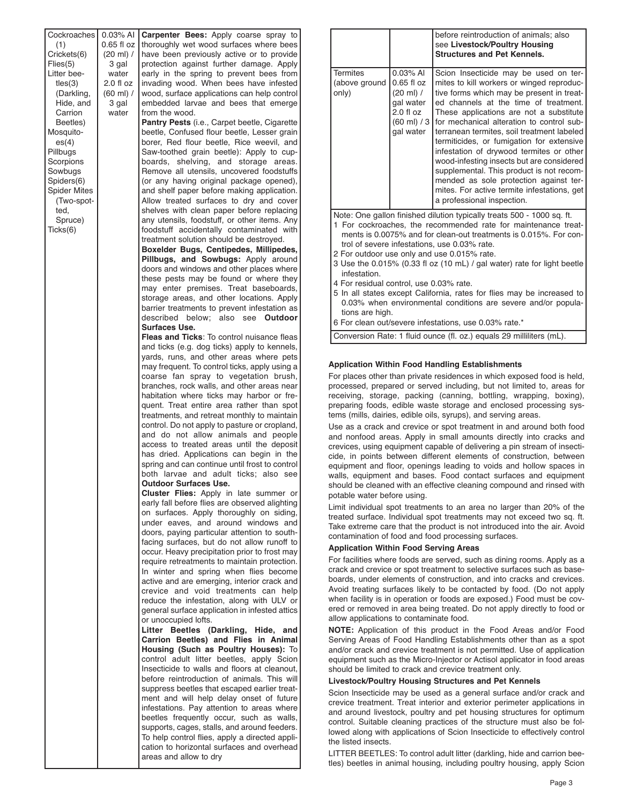**Cockroaches** (1) Crickets(6) Flies(5) Litter beetles(3) (Darkling, Hide, and Carrion Beetles) Mosquito $es(4)$ Pillbugs **Scorpions** Sowbugs Spiders(6) Spider Mites (Two-spotted, Spruce) Ticks(6) 0.03% AI **Carpenter Bees:** Apply coarse spray to 0.65 fl oz (20 ml) / 3 gal water 2.0 fl oz (60 ml) / 3 gal water thoroughly wet wood surfaces where bees have been previously active or to provide protection against further damage. Apply early in the spring to prevent bees from invading wood. When bees have infested wood, surface applications can help control embedded larvae and bees that emerge from the wood. **Pantry Pests** (i.e., Carpet beetle, Cigarette beetle, Confused flour beetle, Lesser grain borer, Red flour beetle, Rice weevil, and Saw-toothed grain beetle): Apply to cupboards, shelving, and storage areas. Remove all utensils, uncovered foodstuffs (or any having original package opened), and shelf paper before making application. Allow treated surfaces to dry and cover shelves with clean paper before replacing any utensils, foodstuff, or other items. Any foodstuff accidentally contaminated with treatment solution should be destroyed. **Boxelder Bugs, Centipedes, Millipedes, Pillbugs, and Sowbugs:** Apply around doors and windows and other places where these pests may be found or where they may enter premises. Treat baseboards, storage areas, and other locations. Apply barrier treatments to prevent infestation as described below; also see **Outdoor Surfaces Use. Fleas and Ticks**: To control nuisance fleas and ticks (e.g. dog ticks) apply to kennels, yards, runs, and other areas where pets may frequent. To control ticks, apply using a coarse fan spray to vegetation brush, branches, rock walls, and other areas near habitation where ticks may harbor or frequent. Treat entire area rather than spot treatments, and retreat monthly to maintain control. Do not apply to pasture or cropland, and do not allow animals and people access to treated areas until the deposit has dried. Applications can begin in the spring and can continue until frost to control both larvae and adult ticks; also see **Outdoor Surfaces Use. Cluster Flies:** Apply in late summer or early fall before flies are observed alighting on surfaces. Apply thoroughly on siding, under eaves, and around windows and doors, paying particular attention to southfacing surfaces, but do not allow runoff to occur. Heavy precipitation prior to frost may require retreatments to maintain protection. In winter and spring when flies become active and are emerging, interior crack and crevice and void treatments can help reduce the infestation, along with ULV or general surface application in infested attics or unoccupied lofts. **Litter Beetles (Darkling, Hide, and Carrion Beetles) and Flies in Animal Housing (Such as Poultry Houses):** To control adult litter beetles, apply Scion Insecticide to walls and floors at cleanout, before reintroduction of animals. This will suppress beetles that escaped earlier treatment and will help delay onset of future infestations. Pay attention to areas where beetles frequently occur, such as walls, supports, cages, stalls, and around feeders. To help control flies, apply a directed application to horizontal surfaces and overhead areas and allow to dry

|                                                                                                                                                                                                                                                                                                                                                                                                                                                                                                                                                                                                  |                                                                                                                        | before reintroduction of animals; also<br>see Livestock/Poultry Housing<br><b>Structures and Pet Kennels.</b>                                                                                                                                                                                                                                                                                                                                                                                                                                                                                                           |  |
|--------------------------------------------------------------------------------------------------------------------------------------------------------------------------------------------------------------------------------------------------------------------------------------------------------------------------------------------------------------------------------------------------------------------------------------------------------------------------------------------------------------------------------------------------------------------------------------------------|------------------------------------------------------------------------------------------------------------------------|-------------------------------------------------------------------------------------------------------------------------------------------------------------------------------------------------------------------------------------------------------------------------------------------------------------------------------------------------------------------------------------------------------------------------------------------------------------------------------------------------------------------------------------------------------------------------------------------------------------------------|--|
| <b>Termites</b><br>(above ground<br>only)                                                                                                                                                                                                                                                                                                                                                                                                                                                                                                                                                        | $0.03\%$ AI<br>$0.65$ fl $oz$<br>$(20 \text{ ml})$ /<br>gal water<br>$2.0 f$ loz<br>$(60 \text{ ml}) / 3$<br>gal water | Scion Insecticide may be used on ter-<br>mites to kill workers or winged reproduc-<br>tive forms which may be present in treat-<br>ed channels at the time of treatment.<br>These applications are not a substitute<br>for mechanical alteration to control sub-<br>terranean termites, soil treatment labeled<br>termiticides, or fumigation for extensive<br>infestation of drywood termites or other<br>wood-infesting insects but are considered<br>supplemental. This product is not recom-<br>mended as sole protection against ter-<br>mites. For active termite infestations, get<br>a professional inspection. |  |
| Note: One gallon finished dilution typically treats 500 - 1000 sq. ft.<br>1 For cockroaches, the recommended rate for maintenance treat-<br>ments is 0.0075% and for clean-out treatments is 0.015%. For con-<br>trol of severe infestations, use 0.03% rate.<br>2 For outdoor use only and use 0.015% rate.<br>3 Use the 0.015% (0.33 fl oz (10 mL) / gal water) rate for light beetle<br>infestation.<br>4 For residual control, use 0.03% rate.<br>5 In all states except California, rates for flies may be increased to<br>$0.03\%$ when environmental conditions are severe and/or popula- |                                                                                                                        |                                                                                                                                                                                                                                                                                                                                                                                                                                                                                                                                                                                                                         |  |

- 0.03% when environmental conditions are severe and/or populations are high.
- 6 For clean out/severe infestations, use 0.03% rate.\*

Conversion Rate: 1 fluid ounce (fl. oz.) equals 29 milliliters (mL).

#### **Application Within Food Handling Establishments**

For places other than private residences in which exposed food is held, processed, prepared or served including, but not limited to, areas for receiving, storage, packing (canning, bottling, wrapping, boxing), preparing foods, edible waste storage and enclosed processing systems (mills, dairies, edible oils, syrups), and serving areas.

Use as a crack and crevice or spot treatment in and around both food and nonfood areas. Apply in small amounts directly into cracks and crevices, using equipment capable of delivering a pin stream of insecticide, in points between different elements of construction, between equipment and floor, openings leading to voids and hollow spaces in walls, equipment and bases. Food contact surfaces and equipment should be cleaned with an effective cleaning compound and rinsed with potable water before using.

Limit individual spot treatments to an area no larger than 20% of the treated surface. Individual spot treatments may not exceed two sq. ft. Take extreme care that the product is not introduced into the air. Avoid contamination of food and food processing surfaces.

#### **Application Within Food Serving Areas**

For facilities where foods are served, such as dining rooms. Apply as a crack and crevice or spot treatment to selective surfaces such as baseboards, under elements of construction, and into cracks and crevices. Avoid treating surfaces likely to be contacted by food. (Do not apply when facility is in operation or foods are exposed.) Food must be covered or removed in area being treated. Do not apply directly to food or allow applications to contaminate food.

**NOTE:** Application of this product in the Food Areas and/or Food Serving Areas of Food Handling Establishments other than as a spot and/or crack and crevice treatment is not permitted. Use of application equipment such as the Micro-Injector or Actisol applicator in food areas should be limited to crack and crevice treatment only.

#### **Livestock/Poultry Housing Structures and Pet Kennels**

Scion lnsecticide may be used as a general surface and/or crack and crevice treatment. Treat interior and exterior perimeter applications in and around livestock, poultry and pet housing structures for optimum control. Suitable cleaning practices of the structure must also be followed along with applications of Scion Insecticide to effectively control the listed insects.

LITTER BEETLES: To control adult litter (darkling, hide and carrion beetles) beetles in animal housing, including poultry housing, apply Scion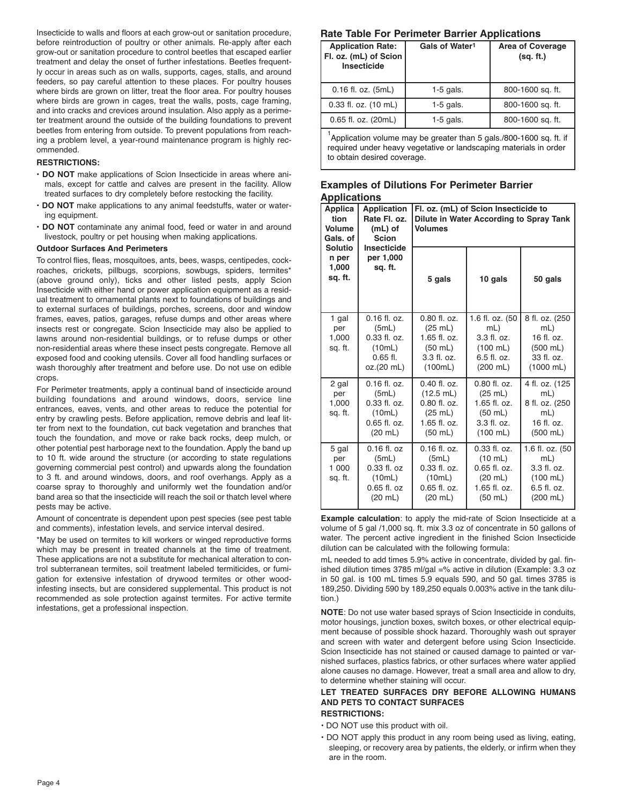Insecticide to walls and floors at each grow-out or sanitation procedure, before reintroduction of poultry or other animals. Re-apply after each grow-out or sanitation procedure to control beetles that escaped earlier treatment and delay the onset of further infestations. Beetles frequently occur in areas such as on walls, supports, cages, stalls, and around feeders, so pay careful attention to these places. For poultry houses where birds are grown on litter, treat the floor area. For poultry houses where birds are grown in cages, treat the walls, posts, cage framing, and into cracks and crevices around insulation. Also apply as a perimeter treatment around the outside of the building foundations to prevent beetles from entering from outside. To prevent populations from reaching a problem level, a year-round maintenance program is highly recommended.

#### **RESTRICTIONS:**

- **DO NOT** make applications of Scion Insecticide in areas where animals, except for cattle and calves are present in the facility. Allow treated surfaces to dry completely before restocking the facility.
- **DO NOT** make applications to any animal feedstuffs, water or watering equipment.
- **DO NOT** contaminate any animal food, feed or water in and around livestock, poultry or pet housing when making applications.

#### **Outdoor Surfaces And Perimeters**

To control flies, fleas, mosquitoes, ants, bees, wasps, centipedes, cockroaches, crickets, pillbugs, scorpions, sowbugs, spiders, termites\* (above ground only), ticks and other listed pests, apply Scion Insecticide with either hand or power application equipment as a residual treatment to ornamental plants next to foundations of buildings and to external surfaces of buildings, porches, screens, door and window frames, eaves, patios, garages, refuse dumps and other areas where insects rest or congregate. Scion Insecticide may also be applied to lawns around non-residential buildings, or to refuse dumps or other non-residential areas where these insect pests congregate. Remove all exposed food and cooking utensils. Cover all food handling surfaces or wash thoroughly after treatment and before use. Do not use on edible crops.

For Perimeter treatments, apply a continual band of insecticide around building foundations and around windows, doors, service line entrances, eaves, vents, and other areas to reduce the potential for entry by crawling pests. Before application, remove debris and leaf litter from next to the foundation, cut back vegetation and branches that touch the foundation, and move or rake back rocks, deep mulch, or other potential pest harborage next to the foundation. Apply the band up to 10 ft. wide around the structure (or according to state regulations governing commercial pest control) and upwards along the foundation to 3 ft. and around windows, doors, and roof overhangs. Apply as a coarse spray to thoroughly and uniformly wet the foundation and/or band area so that the insecticide will reach the soil or thatch level where pests may be active.

Amount of concentrate is dependent upon pest species (see pest table and comments), infestation levels, and service interval desired.

\*May be used on termites to kill workers or winged reproductive forms which may be present in treated channels at the time of treatment. These applications are not a substitute for mechanical alteration to control subterranean termites, soil treatment labeled termiticides, or fumigation for extensive infestation of drywood termites or other woodinfesting insects, but are considered supplemental. This product is not recommended as sole protection against termites. For active termite infestations, get a professional inspection.

## **Rate Table For Perimeter Barrier Applications**

| <b>Application Rate:</b><br>Fl. oz. (mL) of Scion<br><b>Insecticide</b> | Gals of Water <sup>1</sup> | <b>Area of Coverage</b><br>(sq. ft.) |
|-------------------------------------------------------------------------|----------------------------|--------------------------------------|
| 0.16 fl. oz. (5mL)                                                      | $1-5$ gals.                | 800-1600 sq. ft.                     |
| 0.33 fl. oz. (10 mL)                                                    | $1-5$ gals.                | 800-1600 sq. ft.                     |
| 0.65 fl. oz. (20mL)                                                     | $1-5$ gals.                | 800-1600 sq. ft.                     |

<sup>1</sup>Application volume may be greater than 5 gals./800-1600 sq. ft. if required under heavy vegetative or landscaping materials in order to obtain desired coverage.

## **Examples of Dilutions For Perimeter Barrier Applications**

| Applica<br>tion<br><b>Volume</b><br>Gals, of | <b>Application</b><br>Rate Fl. oz.<br>(mL) of<br><b>Scion</b><br><b>Insecticide</b>    | Fl. oz. (mL) of Scion Insecticide to<br>Dilute in Water According to Spray Tank<br><b>Volumes</b> |                                                                                                           |                                                                                               |
|----------------------------------------------|----------------------------------------------------------------------------------------|---------------------------------------------------------------------------------------------------|-----------------------------------------------------------------------------------------------------------|-----------------------------------------------------------------------------------------------|
| <b>Solutio</b><br>n per<br>1,000<br>sq. ft.  | per 1,000<br>sq. ft.                                                                   | 5 gals                                                                                            | 10 gals                                                                                                   | 50 gals                                                                                       |
| 1 gal<br>per<br>1,000<br>sq. ft.             | $0.16$ fl. oz.<br>(5mL)<br>0.33 fl. oz.<br>(10mL)<br>$0.65$ fl.<br>oz.(20 mL)          | 0.80 fl. oz.<br>(25 mL)<br>1.65 fl. oz.<br>$(50 \text{ mL})$<br>3.3 fl. oz.<br>(100mL)            | 1.6 fl. oz. (50<br>$mL$ )<br>$3.3$ fl. oz.<br>$(100 \; \text{mL})$<br>6.5 fl. oz.<br>$(200 \; \text{mL})$ | 8 fl. oz. (250<br>$mL$ )<br>16 fl. oz.<br>$(500$ mL)<br>33 fl. oz.<br>$(1000$ mL)             |
| 2 gal<br>per<br>1,000<br>sq. ft.             | $0.16$ fl. oz.<br>(5mL)<br>0.33 fl. oz.<br>(10mL)<br>0.65 fl. oz.<br>$(20 \text{ mL})$ | 0.40 fl. oz.<br>$(12.5$ mL)<br>0.80 fl. oz.<br>(25 mL)<br>1.65 fl. oz.<br>$(50$ mL)               | 0.80 fl. oz.<br>(25 mL)<br>1.65 fl. oz.<br>$(50 \text{ mL})$<br>3.3 fl. oz.<br>$(100$ mL)                 | 4 fl. oz. (125<br>$mL$ )<br>8 fl. oz. (250<br>$mL$ )<br>16 fl. oz.<br>$(500$ mL)              |
| 5 gal<br>per<br>1 000<br>sq. ft.             | $0.16$ fl. $oz$<br>(5mL)<br>$0.33$ fl. $oz$<br>(10mL)<br>$0.65$ fl. $oz$<br>$(20$ mL)  | $0.16$ fl. oz.<br>(5mL)<br>0.33 fl. oz.<br>(10mL)<br>$0.65$ fl. oz.<br>$(20 \text{ mL})$          | 0.33 fl. oz.<br>$(10 \text{ mL})$<br>0.65 fl. oz.<br>$(20 \text{ mL})$<br>1.65 fl. oz.<br>$(50$ mL)       | 1.6 fl. oz. (50<br>$mL$ )<br>3.3 fl. oz.<br>$(100 \, \text{mL})$<br>6.5 fl. oz.<br>$(200$ mL) |

**Example calculation**: to apply the mid-rate of Scion Insecticide at a volume of 5 gal /1,000 sq. ft. mix 3.3 oz of concentrate in 50 gallons of water. The percent active ingredient in the finished Scion Insecticide dilution can be calculated with the following formula:

mL needed to add times 5.9% active in concentrate, divided by gal. finished dilution times 3785 ml/gal =% active in dilution (Example: 3.3 oz in 50 gal. is 100 mL times 5.9 equals 590, and 50 gal. times 3785 is 189,250. Dividing 590 by 189,250 equals 0.003% active in the tank dilution.)

**NOTE**: Do not use water based sprays of Scion Insecticide in conduits, motor housings, junction boxes, switch boxes, or other electrical equipment because of possible shock hazard. Thoroughly wash out sprayer and screen with water and detergent before using Scion Insecticide. Scion Insecticide has not stained or caused damage to painted or varnished surfaces, plastics fabrics, or other surfaces where water applied alone causes no damage. However, treat a small area and allow to dry, to determine whether staining will occur.

## **LET TREATED SURFACES DRY BEFORE ALLOWING HUMANS AND PETS TO CONTACT SURFACES**

## **RESTRICTIONS:**

- DO NOT use this product with oil.
- DO NOT apply this product in any room being used as living, eating, sleeping, or recovery area by patients, the elderly, or infirm when they are in the room.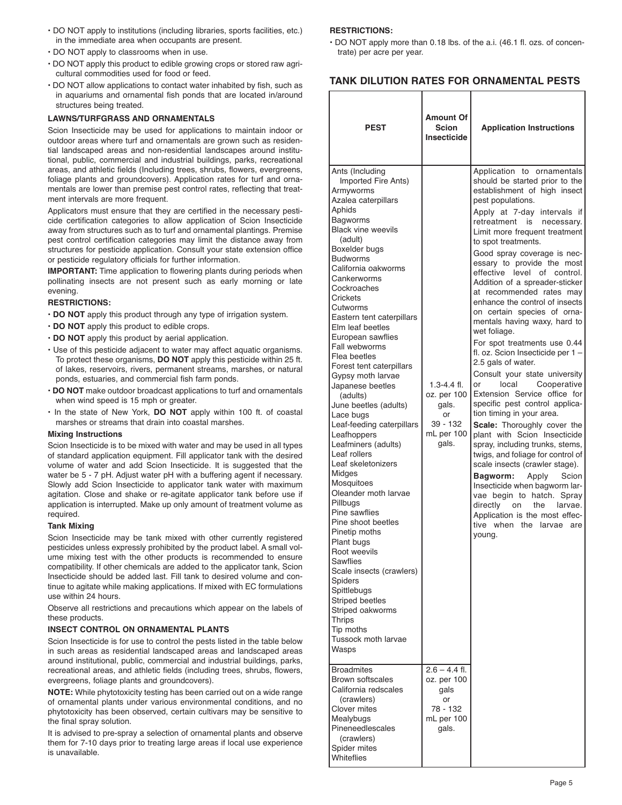- DO NOT apply to institutions (including libraries, sports facilities, etc.) in the immediate area when occupants are present.
- DO NOT apply to classrooms when in use.
- DO NOT apply this product to edible growing crops or stored raw agricultural commodities used for food or feed.
- DO NOT allow applications to contact water inhabited by fish, such as in aquariums and ornamental fish ponds that are located in/around structures being treated.

#### **LAWNS/TURFGRASS AND ORNAMENTALS**

Scion Insecticide may be used for applications to maintain indoor or outdoor areas where turf and ornamentals are grown such as residential landscaped areas and non-residential landscapes around institutional, public, commercial and industrial buildings, parks, recreational areas, and athletic fields (Including trees, shrubs, flowers, evergreens, foliage plants and groundcovers). Application rates for turf and ornamentals are lower than premise pest control rates, reflecting that treatment intervals are more frequent.

Applicators must ensure that they are certified in the necessary pesticide certification categories to allow application of Scion Insecticide away from structures such as to turf and ornamental plantings. Premise pest control certification categories may limit the distance away from structures for pesticide application. Consult your state extension office or pesticide regulatory officials for further information.

**IMPORTANT:** Time application to flowering plants during periods when pollinating insects are not present such as early morning or late evening.

#### **RESTRICTIONS:**

- **DO NOT** apply this product through any type of irrigation system.
- **DO NOT** apply this product to edible crops.
- **DO NOT** apply this product by aerial application.
- Use of this pesticide adjacent to water may affect aquatic organisms. To protect these organisms, **DO NOT** apply this pesticide within 25 ft. of lakes, reservoirs, rivers, permanent streams, marshes, or natural ponds, estuaries, and commercial fish farm ponds.
- **DO NOT** make outdoor broadcast applications to turf and ornamentals when wind speed is 15 mph or greater.
- In the state of New York, **DO NOT** apply within 100 ft. of coastal marshes or streams that drain into coastal marshes.

#### **Mixing Instructions**

Scion Insecticide is to be mixed with water and may be used in all types of standard application equipment. Fill applicator tank with the desired volume of water and add Scion Insecticide. It is suggested that the water be 5 - 7 pH. Adjust water pH with a buffering agent if necessary. Slowly add Scion Insecticide to applicator tank water with maximum agitation. Close and shake or re-agitate applicator tank before use if application is interrupted. Make up only amount of treatment volume as required.

#### **Tank Mixing**

Scion Insecticide may be tank mixed with other currently registered pesticides unless expressly prohibited by the product label. A small volume mixing test with the other products is recommended to ensure compatibility. If other chemicals are added to the applicator tank, Scion Insecticide should be added last. Fill tank to desired volume and continue to agitate while making applications. If mixed with EC formulations use within 24 hours.

Observe all restrictions and precautions which appear on the labels of these products.

#### **INSECT CONTROL ON ORNAMENTAL PLANTS**

Scion Insecticide is for use to control the pests listed in the table below in such areas as residential landscaped areas and landscaped areas around institutional, public, commercial and industrial buildings, parks, recreational areas, and athletic fields (including trees, shrubs, flowers, evergreens, foliage plants and groundcovers).

**NOTE:** While phytotoxicity testing has been carried out on a wide range of ornamental plants under various environmental conditions, and no phytotoxicity has been observed, certain cultivars may be sensitive to the final spray solution.

It is advised to pre-spray a selection of ornamental plants and observe them for 7-10 days prior to treating large areas if local use experience is unavailable.

#### **RESTRICTIONS:**

• DO NOT apply more than 0.18 lbs. of the a.i. (46.1 fl. ozs. of concentrate) per acre per year.

#### **TANK DILUTION RATES FOR ORNAMENTAL PESTS**

| <b>PEST</b>                                                                                                                                                                                                                                                                                                                                                                                                                                                                                                                                                                                                                                                                                                                                                                                                                                                                                                               | <b>Amount Of</b><br><b>Scion</b><br><b>Insecticide</b>                           | <b>Application Instructions</b>                                                                                                                                                                                                                                                                                                                                                                                                                                                                                                                                                                                                                                                                                                                                                                                                                                                                                                                                                                                                                                                                                                                                    |
|---------------------------------------------------------------------------------------------------------------------------------------------------------------------------------------------------------------------------------------------------------------------------------------------------------------------------------------------------------------------------------------------------------------------------------------------------------------------------------------------------------------------------------------------------------------------------------------------------------------------------------------------------------------------------------------------------------------------------------------------------------------------------------------------------------------------------------------------------------------------------------------------------------------------------|----------------------------------------------------------------------------------|--------------------------------------------------------------------------------------------------------------------------------------------------------------------------------------------------------------------------------------------------------------------------------------------------------------------------------------------------------------------------------------------------------------------------------------------------------------------------------------------------------------------------------------------------------------------------------------------------------------------------------------------------------------------------------------------------------------------------------------------------------------------------------------------------------------------------------------------------------------------------------------------------------------------------------------------------------------------------------------------------------------------------------------------------------------------------------------------------------------------------------------------------------------------|
| Ants (Including<br>Imported Fire Ants)<br>Armyworms<br>Azalea caterpillars<br>Aphids<br>Bagworms<br><b>Black vine weevils</b><br>(adult)<br>Boxelder bugs<br><b>Budworms</b><br>California oakworms<br>Cankerworms<br>Cockroaches<br>Crickets<br>Cutworms<br>Eastern tent caterpillars<br>Elm leaf beetles<br>European sawflies<br>Fall webworms<br>Flea beetles<br>Forest tent caterpillars<br>Gypsy moth larvae<br>Japanese beetles<br>(adults)<br>June beetles (adults)<br>Lace bugs<br>Leaf-feeding caterpillars<br>Leafhoppers<br>Leafminers (adults)<br>Leaf rollers<br>Leaf skeletonizers<br>Midges<br>Mosquitoes<br>Oleander moth larvae<br>Pillbugs<br>Pine sawflies<br>Pine shoot beetles<br>Pinetip moths<br>Plant bugs<br>Root weevils<br>Sawflies<br>Scale insects (crawlers)<br>Spiders<br>Spittlebugs<br><b>Striped beetles</b><br>Striped oakworms<br>Thrips<br>Tip moths<br>Tussock moth larvae<br>Wasps | $1.3 - 4.4$ fl.<br>oz. per 100<br>gals.<br>or<br>39 - 132<br>mL per 100<br>gals. | Application to ornamentals<br>should be started prior to the<br>establishment of high insect<br>pest populations.<br>Apply at 7-day intervals if<br>retreatment is<br>necessary.<br>Limit more frequent treatment<br>to spot treatments.<br>Good spray coverage is nec-<br>essary to provide the most<br>effective level of control.<br>Addition of a spreader-sticker<br>at recommended rates may<br>enhance the control of insects<br>on certain species of orna-<br>mentals having waxy, hard to<br>wet foliage.<br>For spot treatments use 0.44<br>fl. oz. Scion Insecticide per 1-<br>2.5 gals of water.<br>Consult your state university<br>local<br>Cooperative<br>or<br>Extension Service office for<br>specific pest control applica-<br>tion timing in your area.<br>Scale: Thoroughly cover the<br>plant with Scion Insecticide<br>spray, including trunks, stems,<br>twigs, and foliage for control of<br>scale insects (crawler stage).<br>Bagworm:<br>Apply<br>Scion<br>Insecticide when bagworm lar-<br>vae begin to hatch. Spray<br>directly<br>the<br>larvae.<br>on<br>Application is the most effec-<br>tive when<br>the larvae<br>are<br>young. |
| <b>Broadmites</b><br>Brown softscales<br>California redscales<br>(crawlers)<br><b>Clover mites</b><br>Mealybugs<br>Pineneedlescales<br>(crawlers)<br>Spider mites<br>Whiteflies                                                                                                                                                                                                                                                                                                                                                                                                                                                                                                                                                                                                                                                                                                                                           | $2.6 - 4.4$ fl.<br>oz. per 100<br>gals<br>or<br>78 - 132<br>mL per 100<br>gals.  |                                                                                                                                                                                                                                                                                                                                                                                                                                                                                                                                                                                                                                                                                                                                                                                                                                                                                                                                                                                                                                                                                                                                                                    |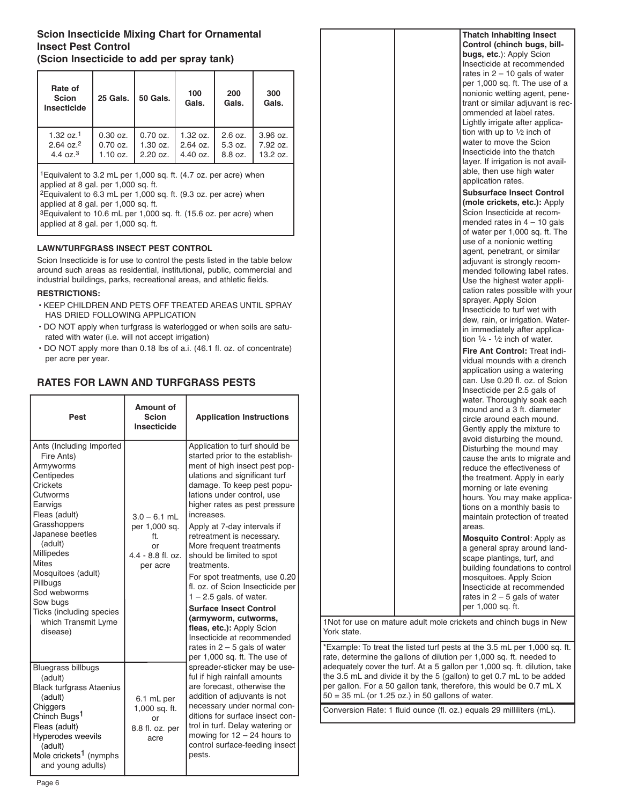## **Scion Insecticide Mixing Chart for Ornamental Insect Pest Control (Scion Insecticide to add per spray tank)**

| Rate of<br><b>Scion</b><br><b>Insecticide</b> | <b>25 Gals.</b>    | <b>50 Gals.</b> | 100<br>Gals.       | 200<br>Gals. | 300<br>Gals.  |
|-----------------------------------------------|--------------------|-----------------|--------------------|--------------|---------------|
| $1.32 \text{ oz}.1$                           | $0.30$ oz.         | $0.70$ oz.      | 1.32 oz.           | 2.6 oz.      | $3.96$ $oz$ . |
| $2.64 \text{ oz}.^2$                          | $0.70$ oz.         | 1.30 oz.        | $2.64$ oz.         | 5.3 oz.      | 7.92 oz.      |
| 4.4 $oz^3$                                    | $1.10 \text{ oz}.$ | $2.20$ oz.      | $4.40 \text{ oz.}$ | 8.8 oz.      | 13.2 oz.      |

1Equivalent to 3.2 mL per 1,000 sq. ft. (4.7 oz. per acre) when applied at 8 gal. per 1,000 sq. ft.

2Equivalent to 6.3 mL per 1,000 sq. ft. (9.3 oz. per acre) when applied at 8 gal. per 1,000 sq. ft.

3Equivalent to 10.6 mL per 1,000 sq. ft. (15.6 oz. per acre) when applied at 8 gal. per 1,000 sq. ft.

## **LAWN/TURFGRASS INSECT PEST CONTROL**

Scion Insecticide is for use to control the pests listed in the table below around such areas as residential, institutional, public, commercial and industrial buildings, parks, recreational areas, and athletic fields.

## **RESTRICTIONS:**

- KEEP CHILDREN AND PETS OFF TREATED AREAS UNTIL SPRAY HAS DRIED FOLLOWING APPLICATION
- DO NOT apply when turfgrass is waterlogged or when soils are saturated with water (i.e. will not accept irrigation)
- DO NOT apply more than 0.18 lbs of a.i. (46.1 fl. oz. of concentrate) per acre per year.

## **RATES FOR LAWN AND TURFGRASS PESTS**

| Pest                                                                                                                                                                                                                                                                                                                            | <b>Amount of</b><br><b>Scion</b><br>Insecticide                                 | <b>Application Instructions</b>                                                                                                                                                                                                                                                                                                                                                                                                                                                                                                                                                                         |  |
|---------------------------------------------------------------------------------------------------------------------------------------------------------------------------------------------------------------------------------------------------------------------------------------------------------------------------------|---------------------------------------------------------------------------------|---------------------------------------------------------------------------------------------------------------------------------------------------------------------------------------------------------------------------------------------------------------------------------------------------------------------------------------------------------------------------------------------------------------------------------------------------------------------------------------------------------------------------------------------------------------------------------------------------------|--|
| Ants (Including Imported<br>Fire Ants)<br>Armyworms<br>Centipedes<br>Crickets<br>Cutworms<br>Earwigs<br>Fleas (adult)<br>Grasshoppers<br>Japanese beetles<br>(adult)<br>Millipedes<br><b>Mites</b><br>Mosquitoes (adult)<br>Pillbugs<br>Sod webworms<br>Sow bugs<br>Ticks (including species<br>which Transmit Lyme<br>disease) | $3.0 - 6.1$ mL<br>per 1,000 sq.<br>ft.<br>0r<br>$4.4 - 8.8$ fl. oz.<br>per acre | Application to turf should be<br>started prior to the establish-<br>ment of high insect pest pop-<br>ulations and significant turf<br>damage. To keep pest popu-<br>lations under control, use<br>higher rates as pest pressure<br>increases.<br>Apply at 7-day intervals if<br>retreatment is necessary.<br>More frequent treatments<br>should be limited to spot<br>treatments.<br>For spot treatments, use 0.20<br>fl. oz. of Scion Insecticide per<br>$1 - 2.5$ gals. of water.<br><b>Surface Insect Control</b><br>(armyworm, cutworms,<br>fleas, etc.): Apply Scion<br>Insecticide at recommended |  |
| <b>Bluegrass billbugs</b><br>(adult)<br><b>Black turfgrass Ataenius</b><br>(adult)<br>6.1 mL per<br>Chiggers<br>1,000 sq. ft.<br>Chinch Bugs <sup>1</sup><br>or<br>Fleas (adult)<br>8.8 fl. oz. per<br>Hyperodes weevils<br>acre<br>(adult)<br>Mole crickets <sup>1</sup> (nymphs<br>and young adults)                          |                                                                                 | rates in $2 - 5$ gals of water<br>per 1,000 sq. ft. The use of<br>spreader-sticker may be use-<br>ful if high rainfall amounts<br>are forecast, otherwise the<br>addition of adjuvants is not<br>necessary under normal con-<br>ditions for surface insect con-<br>trol in turf. Delay watering or<br>mowing for $12 - 24$ hours to<br>control surface-feeding insect<br>pests.                                                                                                                                                                                                                         |  |

| <b>Thatch Inhabiting Insect</b><br>Control (chinch bugs, bill-<br>bugs, etc.): Apply Scion<br>Insecticide at recommended<br>rates in $2 - 10$ gals of water<br>per 1,000 sq. ft. The use of a<br>nonionic wetting agent, pene-<br>trant or similar adjuvant is rec-                                                                                                                                                                                                                                                                                                                                                                           |
|-----------------------------------------------------------------------------------------------------------------------------------------------------------------------------------------------------------------------------------------------------------------------------------------------------------------------------------------------------------------------------------------------------------------------------------------------------------------------------------------------------------------------------------------------------------------------------------------------------------------------------------------------|
| ommended at label rates.<br>Lightly irrigate after applica-<br>tion with up to $\frac{1}{2}$ inch of<br>water to move the Scion<br>Insecticide into the thatch<br>layer. If irrigation is not avail-<br>able, then use high water<br>application rates.<br><b>Subsurface Insect Control</b>                                                                                                                                                                                                                                                                                                                                                   |
| (mole crickets, etc.): Apply<br>Scion Insecticide at recom-<br>mended rates in $4 - 10$ gals<br>of water per 1,000 sq. ft. The<br>use of a nonionic wetting<br>agent, penetrant, or similar<br>adjuvant is strongly recom-<br>mended following label rates.<br>Use the highest water appli-<br>cation rates possible with your<br>sprayer. Apply Scion<br>Insecticide to turf wet with<br>dew, rain, or irrigation. Water-<br>in immediately after applica-                                                                                                                                                                                   |
| tion $\frac{1}{4}$ - $\frac{1}{2}$ inch of water.<br>Fire Ant Control: Treat indi-<br>vidual mounds with a drench<br>application using a watering<br>can. Use 0.20 fl. oz. of Scion<br>Insecticide per 2.5 gals of<br>water. Thoroughly soak each<br>mound and a 3 ft. diameter<br>circle around each mound.<br>Gently apply the mixture to<br>avoid disturbing the mound.<br>Disturbing the mound may<br>cause the ants to migrate and<br>reduce the effectiveness of<br>the treatment. Apply in early<br>morning or late evening<br>hours. You may make applica-<br>tions on a monthly basis to<br>maintain protection of treated<br>areas. |
| <b>Mosquito Control: Apply as</b><br>a general spray around land-<br>scape plantings, turf, and<br>building foundations to control<br>mosquitoes. Apply Scion<br>Insecticide at recommended<br>rates in $2 - 5$ gals of water<br>per 1,000 sq. ft.                                                                                                                                                                                                                                                                                                                                                                                            |
| on mature adult mole crickets and chinch bugs in New                                                                                                                                                                                                                                                                                                                                                                                                                                                                                                                                                                                          |

\*Example: To treat the listed turf pests at the 3.5 mL per 1,000 sq. ft. rate, determine the gallons of dilution per 1,000 sq. ft. needed to adequately cover the turf. At a 5 gallon per 1,000 sq. ft. dilution, take the 3.5 mL and divide it by the 5 (gallon) to get 0.7 mL to be added per gallon. For a 50 gallon tank, therefore, this would be 0.7 mL X 50 = 35 mL (or 1.25 oz.) in 50 gallons of water.

Conversion Rate: 1 fluid ounce (fl. oz.) equals 29 milliliters (mL).

1Not for use York state.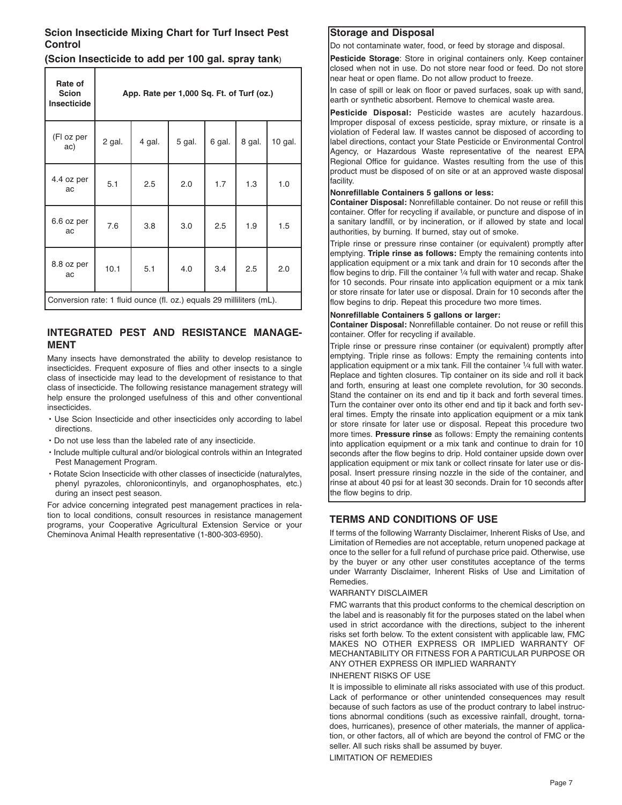## **Scion Insecticide Mixing Chart for Turf Insect Pest Control**

## **(Scion Insecticide to add per 100 gal. spray tank**)

| Rate of<br><b>Scion</b><br>Insecticide                               | App. Rate per 1,000 Sq. Ft. of Turf (oz.) |        |        |        |        |         |
|----------------------------------------------------------------------|-------------------------------------------|--------|--------|--------|--------|---------|
| (FI oz per<br>ac)                                                    | 2 gal.                                    | 4 gal. | 5 gal. | 6 gal. | 8 gal. | 10 gal. |
| 4.4 oz per<br>ac                                                     | 5.1                                       | 2.5    | 2.0    | 1.7    | 1.3    | 1.0     |
| 6.6 oz per<br>ac                                                     | 7.6                                       | 3.8    | 3.0    | 2.5    | 1.9    | 1.5     |
| 8.8 oz per<br>ac                                                     | 10.1                                      | 5.1    | 4.0    | 3.4    | 2.5    | 2.0     |
| Conversion rate: 1 fluid ounce (fl. oz.) equals 29 milliliters (mL). |                                           |        |        |        |        |         |

## **INTEGRATED PEST AND RESISTANCE MANAGE-MENT**

Many insects have demonstrated the ability to develop resistance to insecticides. Frequent exposure of flies and other insects to a single class of insecticide may lead to the development of resistance to that class of insecticide. The following resistance management strategy will help ensure the prolonged usefulness of this and other conventional insecticides.

- Use Scion Insecticide and other insecticides only according to label directions.
- Do not use less than the labeled rate of any insecticide.
- Include multiple cultural and/or biological controls within an Integrated Pest Management Program.
- Rotate Scion Insecticide with other classes of insecticide (naturalytes, phenyl pyrazoles, chloronicontinyls, and organophosphates, etc.) during an insect pest season.

For advice concerning integrated pest management practices in relation to local conditions, consult resources in resistance management programs, your Cooperative Agricultural Extension Service or your Cheminova Animal Health representative (1-800-303-6950).

## **Storage and Disposal**

Do not contaminate water, food, or feed by storage and disposal.

**Pesticide Storage**: Store in original containers only. Keep container closed when not in use. Do not store near food or feed. Do not store near heat or open flame. Do not allow product to freeze.

In case of spill or leak on floor or paved surfaces, soak up with sand, earth or synthetic absorbent. Remove to chemical waste area.

**Pesticide Disposal:** Pesticide wastes are acutely hazardous. Improper disposal of excess pesticide, spray mixture, or rinsate is a violation of Federal law. If wastes cannot be disposed of according to label directions, contact your State Pesticide or Environmental Control Agency, or Hazardous Waste representative of the nearest EPA Regional Office for guidance. Wastes resulting from the use of this product must be disposed of on site or at an approved waste disposal facility.

#### **Nonrefillable Containers 5 gallons or less:**

**Container Disposal:** Nonrefillable container. Do not reuse or refill this container. Offer for recycling if available, or puncture and dispose of in a sanitary landfill, or by incineration, or if allowed by state and local authorities, by burning. If burned, stay out of smoke.

Triple rinse or pressure rinse container (or equivalent) promptly after emptying. **Triple rinse as follows:** Empty the remaining contents into application equipment or a mix tank and drain for 10 seconds after the flow begins to drip. Fill the container 1/4 full with water and recap. Shake for 10 seconds. Pour rinsate into application equipment or a mix tank or store rinsate for later use or disposal. Drain for 10 seconds after the flow begins to drip. Repeat this procedure two more times.

#### **Nonrefillable Containers 5 gallons or larger:**

**Container Disposal:** Nonrefillable container. Do not reuse or refill this container. Offer for recycling if available.

Triple rinse or pressure rinse container (or equivalent) promptly after emptying. Triple rinse as follows: Empty the remaining contents into application equipment or a mix tank. Fill the container 1⁄4 full with water. Replace and tighten closures. Tip container on its side and roll it back and forth, ensuring at least one complete revolution, for 30 seconds. Stand the container on its end and tip it back and forth several times. Turn the container over onto its other end and tip it back and forth several times. Empty the rinsate into application equipment or a mix tank or store rinsate for later use or disposal. Repeat this procedure two more times. **Pressure rinse** as follows: Empty the remaining contents into application equipment or a mix tank and continue to drain for 10 seconds after the flow begins to drip. Hold container upside down over application equipment or mix tank or collect rinsate for later use or disposal. Insert pressure rinsing nozzle in the side of the container, and rinse at about 40 psi for at least 30 seconds. Drain for 10 seconds after the flow begins to drip.

## **TERMS AND CONDITIONS OF USE**

If terms of the following Warranty Disclaimer, Inherent Risks of Use, and Limitation of Remedies are not acceptable, return unopened package at once to the seller for a full refund of purchase price paid. Otherwise, use by the buyer or any other user constitutes acceptance of the terms under Warranty Disclaimer, Inherent Risks of Use and Limitation of Remedies.

#### WARRANTY DISCLAIMER

FMC warrants that this product conforms to the chemical description on the label and is reasonably fit for the purposes stated on the label when used in strict accordance with the directions, subject to the inherent risks set forth below. To the extent consistent with applicable law, FMC MAKES NO OTHER EXPRESS OR IMPLIED WARRANTY OF MECHANTABILITY OR FITNESS FOR A PARTICULAR PURPOSE OR ANY OTHER EXPRESS OR IMPLIED WARRANTY

#### INHERENT RISKS OF USE

It is impossible to eliminate all risks associated with use of this product. Lack of performance or other unintended consequences may result because of such factors as use of the product contrary to label instructions abnormal conditions (such as excessive rainfall, drought, tornadoes, hurricanes), presence of other materials, the manner of application, or other factors, all of which are beyond the control of FMC or the seller. All such risks shall be assumed by buyer.

LIMITATION OF REMEDIES